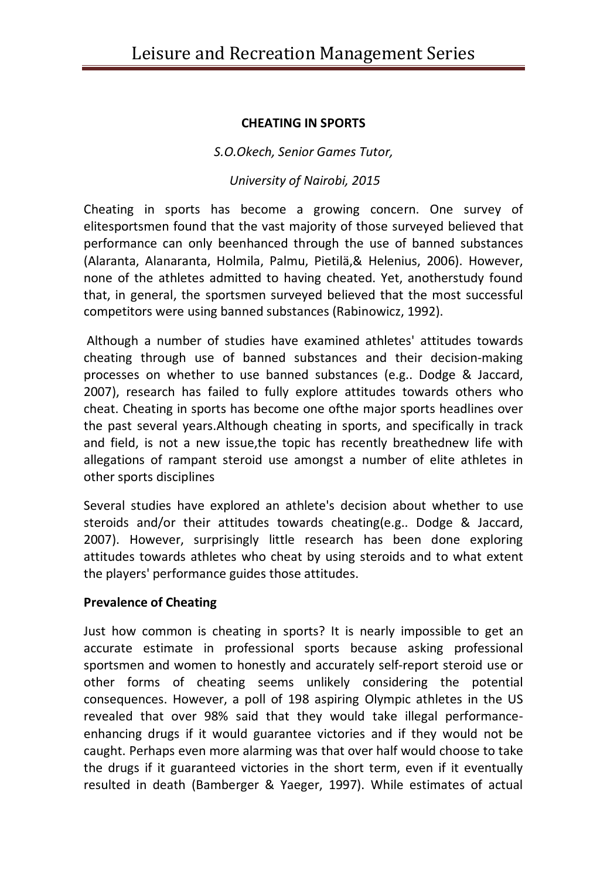#### **CHEATING IN SPORTS**

*S.O.Okech, Senior Games Tutor,*

## *University of Nairobi, 2015*

Cheating in sports has become a growing concern. One survey of elitesportsmen found that the vast majority of those surveyed believed that performance can only beenhanced through the use of banned substances (Alaranta, Alanaranta, Holmila, Palmu, Pietilä,& Helenius, 2006). However, none of the athletes admitted to having cheated. Yet, anotherstudy found that, in general, the sportsmen surveyed believed that the most successful competitors were using banned substances (Rabinowicz, 1992).

Although a number of studies have examined athletes' attitudes towards cheating through use of banned substances and their decision-making processes on whether to use banned substances (e.g.. Dodge & Jaccard, 2007), research has failed to fully explore attitudes towards others who cheat. Cheating in sports has become one ofthe major sports headlines over the past several years.Although cheating in sports, and specifically in track and field, is not a new issue,the topic has recently breathednew life with allegations of rampant steroid use amongst a number of elite athletes in other sports disciplines

Several studies have explored an athlete's decision about whether to use steroids and/or their attitudes towards cheating(e.g.. Dodge & Jaccard, 2007). However, surprisingly little research has been done exploring attitudes towards athletes who cheat by using steroids and to what extent the players' performance guides those attitudes.

#### **Prevalence of Cheating**

Just how common is cheating in sports? It is nearly impossible to get an accurate estimate in professional sports because asking professional sportsmen and women to honestly and accurately self-report steroid use or other forms of cheating seems unlikely considering the potential consequences. However, a poll of 198 aspiring Olympic athletes in the US revealed that over 98% said that they would take illegal performanceenhancing drugs if it would guarantee victories and if they would not be caught. Perhaps even more alarming was that over half would choose to take the drugs if it guaranteed victories in the short term, even if it eventually resulted in death (Bamberger & Yaeger, 1997). While estimates of actual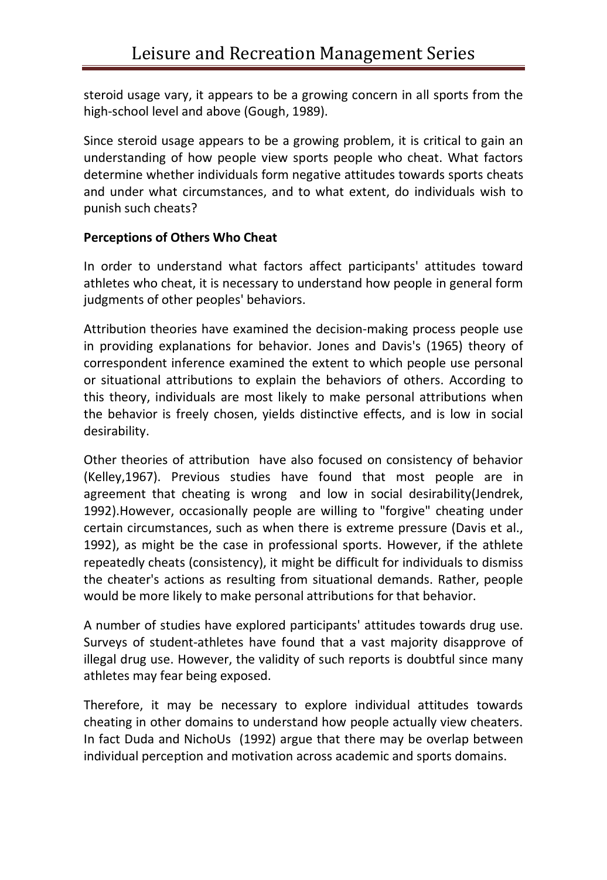steroid usage vary, it appears to be a growing concern in all sports from the high-school level and above (Gough, 1989).

Since steroid usage appears to be a growing problem, it is critical to gain an understanding of how people view sports people who cheat. What factors determine whether individuals form negative attitudes towards sports cheats and under what circumstances, and to what extent, do individuals wish to punish such cheats?

# **Perceptions of Others Who Cheat**

In order to understand what factors affect participants' attitudes toward athletes who cheat, it is necessary to understand how people in general form judgments of other peoples' behaviors.

Attribution theories have examined the decision-making process people use in providing explanations for behavior. Jones and Davis's (1965) theory of correspondent inference examined the extent to which people use personal or situational attributions to explain the behaviors of others. According to this theory, individuals are most likely to make personal attributions when the behavior is freely chosen, yields distinctive effects, and is low in social desirability.

Other theories of attribution have also focused on consistency of behavior (Kelley,1967). Previous studies have found that most people are in agreement that cheating is wrong and low in social desirability(Jendrek, 1992).However, occasionally people are willing to "forgive" cheating under certain circumstances, such as when there is extreme pressure (Davis et al., 1992), as might be the case in professional sports. However, if the athlete repeatedly cheats (consistency), it might be difficult for individuals to dismiss the cheater's actions as resulting from situational demands. Rather, people would be more likely to make personal attributions for that behavior.

A number of studies have explored participants' attitudes towards drug use. Surveys of student-athletes have found that a vast majority disapprove of illegal drug use. However, the validity of such reports is doubtful since many athletes may fear being exposed.

Therefore, it may be necessary to explore individual attitudes towards cheating in other domains to understand how people actually view cheaters. In fact Duda and NichoUs (1992) argue that there may be overlap between individual perception and motivation across academic and sports domains.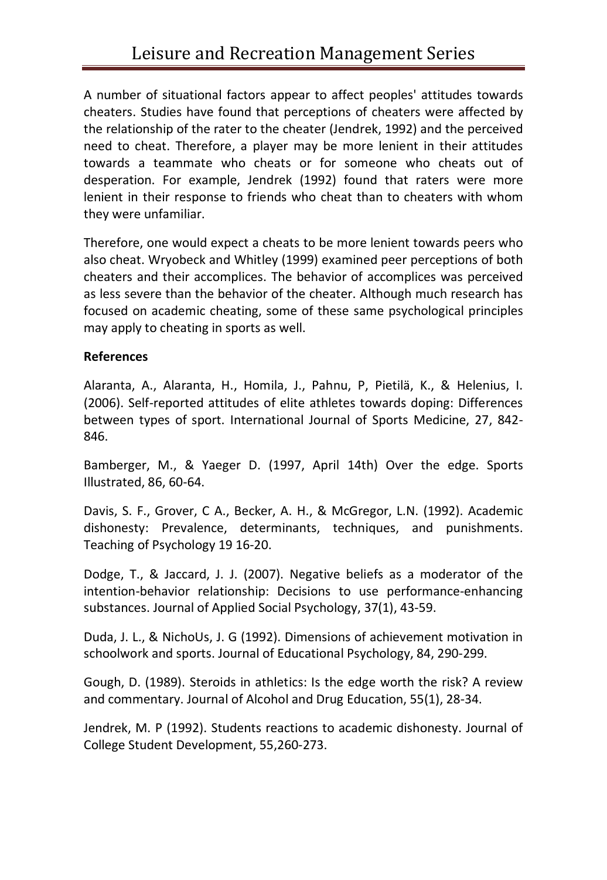A number of situational factors appear to affect peoples' attitudes towards cheaters. Studies have found that perceptions of cheaters were affected by the relationship of the rater to the cheater (Jendrek, 1992) and the perceived need to cheat. Therefore, a player may be more lenient in their attitudes towards a teammate who cheats or for someone who cheats out of desperation. For example, Jendrek (1992) found that raters were more lenient in their response to friends who cheat than to cheaters with whom they were unfamiliar.

Therefore, one would expect a cheats to be more lenient towards peers who also cheat. Wryobeck and Whitley (1999) examined peer perceptions of both cheaters and their accomplices. The behavior of accomplices was perceived as less severe than the behavior of the cheater. Although much research has focused on academic cheating, some of these same psychological principles may apply to cheating in sports as well.

### **References**

Alaranta, A., Alaranta, H., Homila, J., Pahnu, P, Pietilä, K., & Helenius, I. (2006). Self-reported attitudes of elite athletes towards doping: Differences between types of sport. International Journal of Sports Medicine, 27, 842- 846.

Bamberger, M., & Yaeger D. (1997, April 14th) Over the edge. Sports Illustrated, 86, 60-64.

Davis, S. F., Grover, C A., Becker, A. H., & McGregor, L.N. (1992). Academic dishonesty: Prevalence, determinants, techniques, and punishments. Teaching of Psychology 19 16-20.

Dodge, T., & Jaccard, J. J. (2007). Negative beliefs as a moderator of the intention-behavior relationship: Decisions to use performance-enhancing substances. Journal of Applied Social Psychology, 37(1), 43-59.

Duda, J. L., & NichoUs, J. G (1992). Dimensions of achievement motivation in schoolwork and sports. Journal of Educational Psychology, 84, 290-299.

Gough, D. (1989). Steroids in athletics: Is the edge worth the risk? A review and commentary. Journal of Alcohol and Drug Education, 55(1), 28-34.

Jendrek, M. P (1992). Students reactions to academic dishonesty. Journal of College Student Development, 55,260-273.